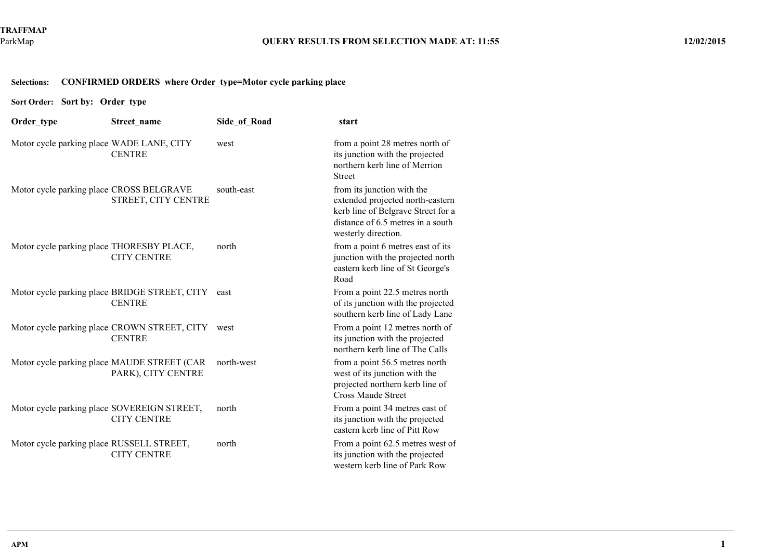## **Selections:CONFIRMED ORDERS where Order\_type=Motor cycle parking place**

**Sort Order:Sort by: Order\_type**

| Order type                                  | Street name                                                    | Side of Road | start                                                                                                                                                            |
|---------------------------------------------|----------------------------------------------------------------|--------------|------------------------------------------------------------------------------------------------------------------------------------------------------------------|
| Motor cycle parking place WADE LANE, CITY   | <b>CENTRE</b>                                                  | west         | from a point 28 metres north of<br>its junction with the projected<br>northern kerb line of Merrion<br><b>Street</b>                                             |
| Motor cycle parking place CROSS BELGRAVE    | STREET, CITY CENTRE                                            | south-east   | from its junction with the<br>extended projected north-eastern<br>kerb line of Belgrave Street for a<br>distance of 6.5 metres in a south<br>westerly direction. |
| Motor cycle parking place THORESBY PLACE,   | <b>CITY CENTRE</b>                                             | north        | from a point 6 metres east of its<br>junction with the projected north<br>eastern kerb line of St George's<br>Road                                               |
|                                             | Motor cycle parking place BRIDGE STREET, CITY<br><b>CENTRE</b> | east         | From a point 22.5 metres north<br>of its junction with the projected<br>southern kerb line of Lady Lane                                                          |
|                                             | Motor cycle parking place CROWN STREET, CITY<br><b>CENTRE</b>  | west         | From a point 12 metres north of<br>its junction with the projected<br>northern kerb line of The Calls                                                            |
| Motor cycle parking place MAUDE STREET (CAR | PARK), CITY CENTRE                                             | north-west   | from a point 56.5 metres north<br>west of its junction with the<br>projected northern kerb line of<br><b>Cross Maude Street</b>                                  |
| Motor cycle parking place SOVEREIGN STREET, | <b>CITY CENTRE</b>                                             | north        | From a point 34 metres east of<br>its junction with the projected<br>eastern kerb line of Pitt Row                                                               |
| Motor cycle parking place RUSSELL STREET,   | <b>CITY CENTRE</b>                                             | north        | From a point 62.5 metres west of<br>its junction with the projected<br>western kerb line of Park Row                                                             |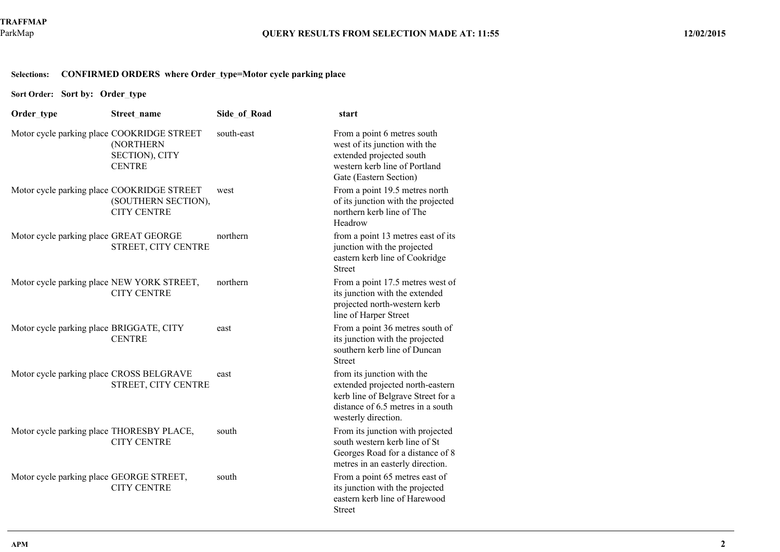## **Selections:CONFIRMED ORDERS where Order\_type=Motor cycle parking place**

**Sort Order:Sort by: Order\_type**

| Order type                                 | Street name                                  | <b>Side of Road</b> | start                                                                                                                                                            |
|--------------------------------------------|----------------------------------------------|---------------------|------------------------------------------------------------------------------------------------------------------------------------------------------------------|
| Motor cycle parking place COOKRIDGE STREET | (NORTHERN<br>SECTION), CITY<br><b>CENTRE</b> | south-east          | From a point 6 metres south<br>west of its junction with the<br>extended projected south<br>western kerb line of Portland<br>Gate (Eastern Section)              |
| Motor cycle parking place COOKRIDGE STREET | (SOUTHERN SECTION),<br><b>CITY CENTRE</b>    | west                | From a point 19.5 metres north<br>of its junction with the projected<br>northern kerb line of The<br>Headrow                                                     |
| Motor cycle parking place GREAT GEORGE     | STREET, CITY CENTRE                          | northern            | from a point 13 metres east of its<br>junction with the projected<br>eastern kerb line of Cookridge<br><b>Street</b>                                             |
| Motor cycle parking place NEW YORK STREET, | <b>CITY CENTRE</b>                           | northern            | From a point 17.5 metres west of<br>its junction with the extended<br>projected north-western kerb<br>line of Harper Street                                      |
| Motor cycle parking place BRIGGATE, CITY   | <b>CENTRE</b>                                | east                | From a point 36 metres south of<br>its junction with the projected<br>southern kerb line of Duncan<br><b>Street</b>                                              |
| Motor cycle parking place CROSS BELGRAVE   | STREET, CITY CENTRE                          | east                | from its junction with the<br>extended projected north-eastern<br>kerb line of Belgrave Street for a<br>distance of 6.5 metres in a south<br>westerly direction. |
| Motor cycle parking place THORESBY PLACE,  | <b>CITY CENTRE</b>                           | south               | From its junction with projected<br>south western kerb line of St<br>Georges Road for a distance of 8<br>metres in an easterly direction.                        |
| Motor cycle parking place GEORGE STREET,   | <b>CITY CENTRE</b>                           | south               | From a point 65 metres east of<br>its junction with the projected<br>eastern kerb line of Harewood<br><b>Street</b>                                              |